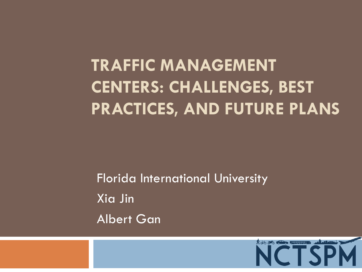### **TRAFFIC MANAGEMENT CENTERS: CHALLENGES, BEST PRACTICES, AND FUTURE PLANS**

Florida International University Xia Jin Albert Gan

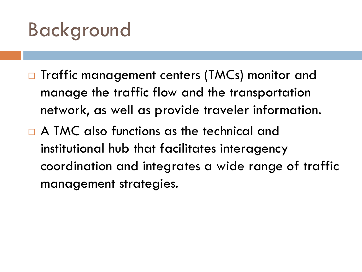# Background

- □ Traffic management centers (TMCs) monitor and manage the traffic flow and the transportation network, as well as provide traveler information.
- $\Box$  A TMC also functions as the technical and institutional hub that facilitates interagency coordination and integrates a wide range of traffic management strategies.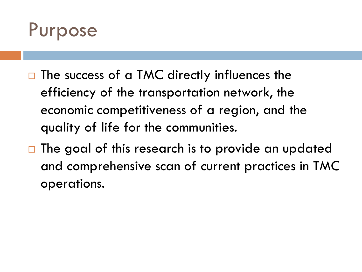

- $\Box$  The success of a TMC directly influences the efficiency of the transportation network, the economic competitiveness of a region, and the quality of life for the communities.
- $\Box$  The goal of this research is to provide an updated and comprehensive scan of current practices in TMC operations.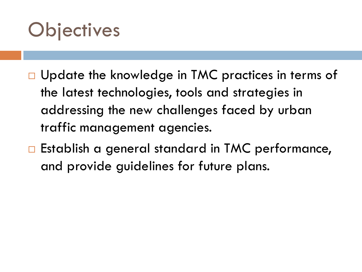# **Objectives**

- □ Update the knowledge in TMC practices in terms of the latest technologies, tools and strategies in addressing the new challenges faced by urban traffic management agencies.
- □ Establish a general standard in TMC performance, and provide guidelines for future plans.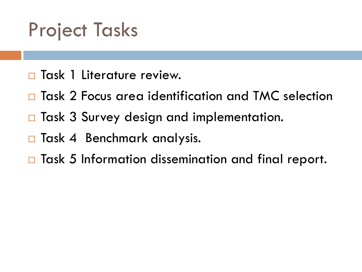# Project Tasks

- $\Box$  Task 1 Literature review.
- □ Task 2 Focus area identification and TMC selection
- □ Task 3 Survey design and implementation.
- □ Task 4 Benchmark analysis.
- $\Box$  Task 5 Information dissemination and final report.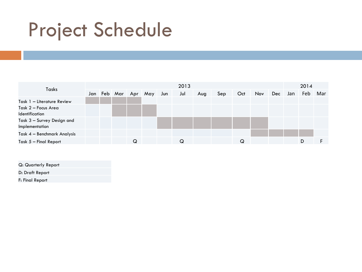# Project Schedule

| Tasks                       | 2013 |  |  |                     |  |     |     |     |     |     |            | 2014 |     |     |     |
|-----------------------------|------|--|--|---------------------|--|-----|-----|-----|-----|-----|------------|------|-----|-----|-----|
|                             |      |  |  | Jan Feb Mar Apr May |  | Jun | Jul | Aug | Sep | Oct | <b>Nov</b> | Dec  | Jan | Feb | Mar |
| Task 1 – Literature Review  |      |  |  |                     |  |     |     |     |     |     |            |      |     |     |     |
| Task 2 – Focus Area         |      |  |  |                     |  |     |     |     |     |     |            |      |     |     |     |
| <b>Identification</b>       |      |  |  |                     |  |     |     |     |     |     |            |      |     |     |     |
| Task 3 - Survey Design and  |      |  |  |                     |  |     |     |     |     |     |            |      |     |     |     |
| Implementation              |      |  |  |                     |  |     |     |     |     |     |            |      |     |     |     |
| Task 4 - Benchmark Analysis |      |  |  |                     |  |     |     |     |     |     |            |      |     |     |     |
| Task 5 - Final Report       |      |  |  | Q                   |  |     | Q   |     |     | Q   |            |      |     | D   |     |

Q: Quarterly Report

D: Draft Report

F: Final Report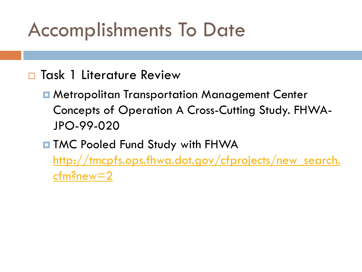# Accomplishments To Date

#### **D** Task 1 Literature Review

**E** Metropolitan Transportation Management Center Concepts of Operation A Cross-Cutting Study. FHWA-JPO-99-020

**THRUT THE Prooled Fund Study with FHWA** [http://tmcpfs.ops.fhwa.dot.gov/cfprojects/new\\_search.](http://tmcpfs.ops.fhwa.dot.gov/cfprojects/new_search.cfm?new=2)  ${\sf cfm?}$ new $=2$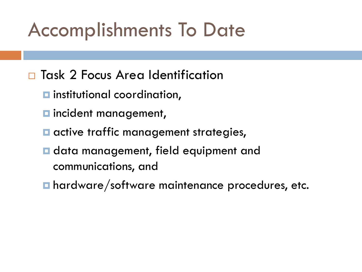# Accomplishments To Date

- Task 2 Focus Area Identification
	- **□** institutional coordination,
	- $\square$  incident management,
	- $\blacksquare$  active traffic management strategies,
	- $\blacksquare$  data management, field equipment and communications, and
	- **hardware/software maintenance procedures, etc.**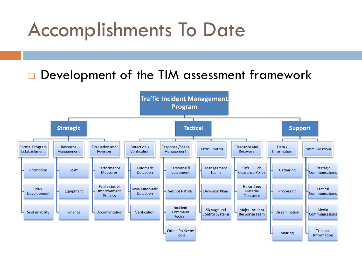## Accomplishments To Date

#### □ Development of the TIM assessment framework